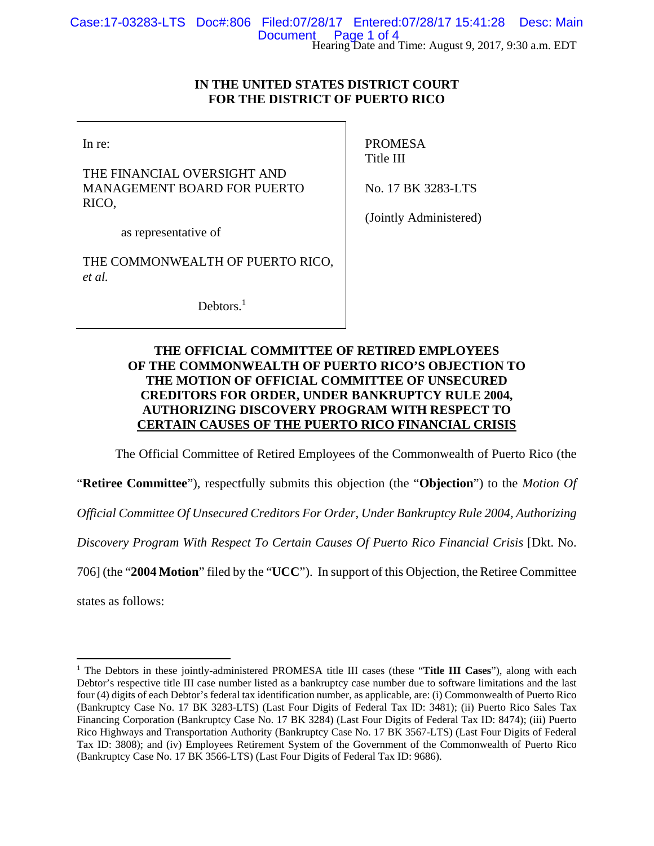# **IN THE UNITED STATES DISTRICT COURT FOR THE DISTRICT OF PUERTO RICO**

In re:

THE FINANCIAL OVERSIGHT AND MANAGEMENT BOARD FOR PUERTO RICO,

PROMESA Title III

No. 17 BK 3283-LTS

as representative of

THE COMMONWEALTH OF PUERTO RICO, *et al.*

Debtors.<sup>1</sup>

(Jointly Administered)

# **THE OFFICIAL COMMITTEE OF RETIRED EMPLOYEES OF THE COMMONWEALTH OF PUERTO RICO'S OBJECTION TO THE MOTION OF OFFICIAL COMMITTEE OF UNSECURED CREDITORS FOR ORDER, UNDER BANKRUPTCY RULE 2004, AUTHORIZING DISCOVERY PROGRAM WITH RESPECT TO CERTAIN CAUSES OF THE PUERTO RICO FINANCIAL CRISIS**

The Official Committee of Retired Employees of the Commonwealth of Puerto Rico (the

"**Retiree Committee**"), respectfully submits this objection (the "**Objection**") to the *Motion Of* 

*Official Committee Of Unsecured Creditors For Order, Under Bankruptcy Rule 2004, Authorizing* 

*Discovery Program With Respect To Certain Causes Of Puerto Rico Financial Crisis* [Dkt. No.

706] (the "**2004 Motion**" filed by the "**UCC**"). In support of this Objection, the Retiree Committee

states as follows:

<sup>&</sup>lt;sup>1</sup> The Debtors in these jointly-administered PROMESA title III cases (these "Title III Cases"), along with each Debtor's respective title III case number listed as a bankruptcy case number due to software limitations and the last four (4) digits of each Debtor's federal tax identification number, as applicable, are: (i) Commonwealth of Puerto Rico (Bankruptcy Case No. 17 BK 3283-LTS) (Last Four Digits of Federal Tax ID: 3481); (ii) Puerto Rico Sales Tax Financing Corporation (Bankruptcy Case No. 17 BK 3284) (Last Four Digits of Federal Tax ID: 8474); (iii) Puerto Rico Highways and Transportation Authority (Bankruptcy Case No. 17 BK 3567-LTS) (Last Four Digits of Federal Tax ID: 3808); and (iv) Employees Retirement System of the Government of the Commonwealth of Puerto Rico (Bankruptcy Case No. 17 BK 3566-LTS) (Last Four Digits of Federal Tax ID: 9686).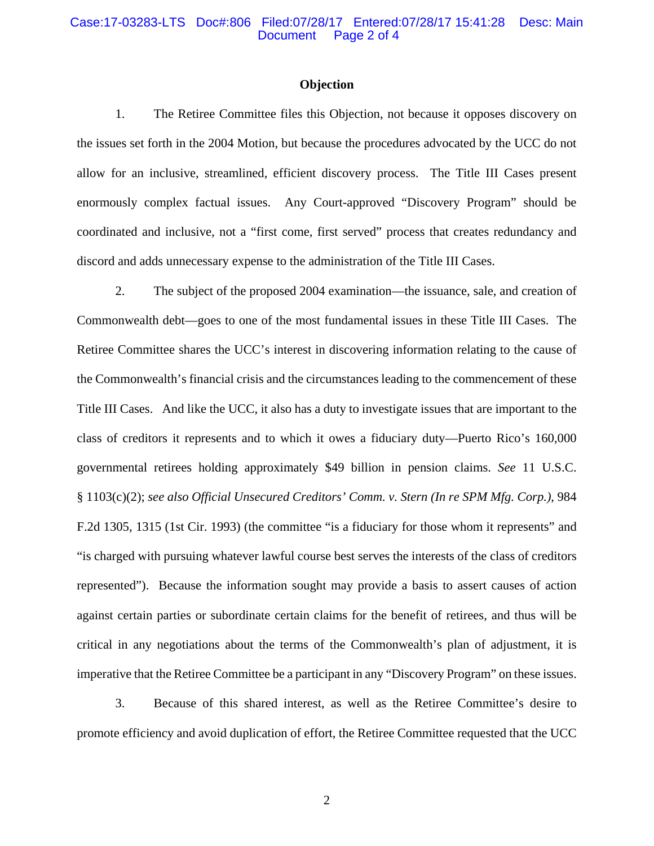## Case:17-03283-LTS Doc#:806 Filed:07/28/17 Entered:07/28/17 15:41:28 Desc: Main Page 2 of 4

## **Objection**

1. The Retiree Committee files this Objection, not because it opposes discovery on the issues set forth in the 2004 Motion, but because the procedures advocated by the UCC do not allow for an inclusive, streamlined, efficient discovery process. The Title III Cases present enormously complex factual issues. Any Court-approved "Discovery Program" should be coordinated and inclusive, not a "first come, first served" process that creates redundancy and discord and adds unnecessary expense to the administration of the Title III Cases.

2. The subject of the proposed 2004 examination—the issuance, sale, and creation of Commonwealth debt—goes to one of the most fundamental issues in these Title III Cases. The Retiree Committee shares the UCC's interest in discovering information relating to the cause of the Commonwealth's financial crisis and the circumstances leading to the commencement of these Title III Cases. And like the UCC, it also has a duty to investigate issues that are important to the class of creditors it represents and to which it owes a fiduciary duty—Puerto Rico's 160,000 governmental retirees holding approximately \$49 billion in pension claims. *See* 11 U.S.C. § 1103(c)(2); *see also Official Unsecured Creditors' Comm. v. Stern (In re SPM Mfg. Corp.)*, 984 F.2d 1305, 1315 (1st Cir. 1993) (the committee "is a fiduciary for those whom it represents" and "is charged with pursuing whatever lawful course best serves the interests of the class of creditors represented").Because the information sought may provide a basis to assert causes of action against certain parties or subordinate certain claims for the benefit of retirees, and thus will be critical in any negotiations about the terms of the Commonwealth's plan of adjustment, it is imperative that the Retiree Committee be a participant in any "Discovery Program" on these issues.

3. Because of this shared interest, as well as the Retiree Committee's desire to promote efficiency and avoid duplication of effort, the Retiree Committee requested that the UCC

2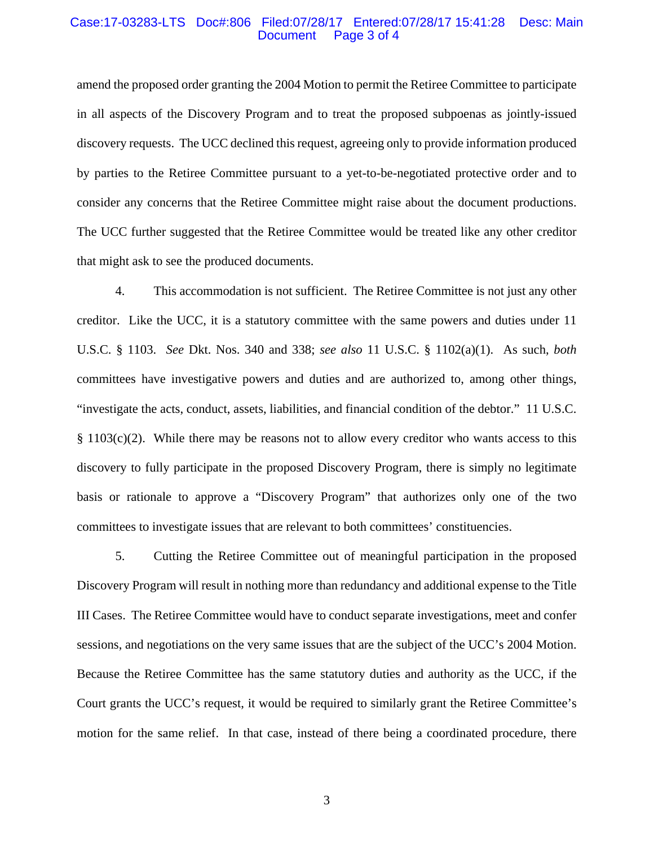## Case:17-03283-LTS Doc#:806 Filed:07/28/17 Entered:07/28/17 15:41:28 Desc: Main Page 3 of 4

amend the proposed order granting the 2004 Motion to permit the Retiree Committee to participate in all aspects of the Discovery Program and to treat the proposed subpoenas as jointly-issued discovery requests. The UCC declined this request, agreeing only to provide information produced by parties to the Retiree Committee pursuant to a yet-to-be-negotiated protective order and to consider any concerns that the Retiree Committee might raise about the document productions. The UCC further suggested that the Retiree Committee would be treated like any other creditor that might ask to see the produced documents.

4. This accommodation is not sufficient. The Retiree Committee is not just any other creditor. Like the UCC, it is a statutory committee with the same powers and duties under 11 U.S.C. § 1103. *See* Dkt. Nos. 340 and 338; *see also* 11 U.S.C. § 1102(a)(1). As such, *both* committees have investigative powers and duties and are authorized to, among other things, "investigate the acts, conduct, assets, liabilities, and financial condition of the debtor." 11 U.S.C.  $§ 1103(c)(2)$ . While there may be reasons not to allow every creditor who wants access to this discovery to fully participate in the proposed Discovery Program, there is simply no legitimate basis or rationale to approve a "Discovery Program" that authorizes only one of the two committees to investigate issues that are relevant to both committees' constituencies.

5. Cutting the Retiree Committee out of meaningful participation in the proposed Discovery Program will result in nothing more than redundancy and additional expense to the Title III Cases. The Retiree Committee would have to conduct separate investigations, meet and confer sessions, and negotiations on the very same issues that are the subject of the UCC's 2004 Motion. Because the Retiree Committee has the same statutory duties and authority as the UCC, if the Court grants the UCC's request, it would be required to similarly grant the Retiree Committee's motion for the same relief. In that case, instead of there being a coordinated procedure, there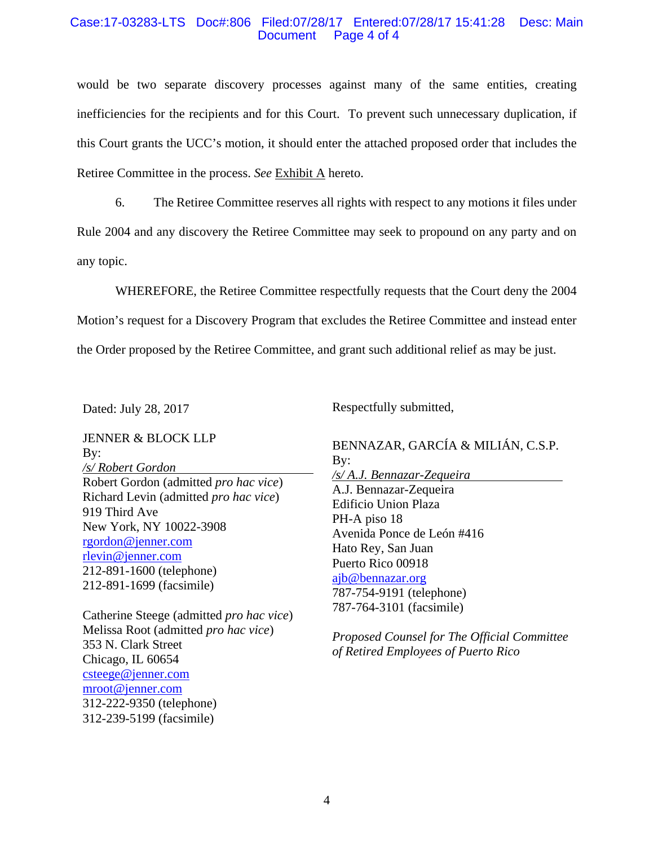## Case:17-03283-LTS Doc#:806 Filed:07/28/17 Entered:07/28/17 15:41:28 Desc: Main Page 4 of 4

would be two separate discovery processes against many of the same entities, creating inefficiencies for the recipients and for this Court. To prevent such unnecessary duplication, if this Court grants the UCC's motion, it should enter the attached proposed order that includes the Retiree Committee in the process. *See* Exhibit A hereto.

6. The Retiree Committee reserves all rights with respect to any motions it files under Rule 2004 and any discovery the Retiree Committee may seek to propound on any party and on any topic.

WHEREFORE, the Retiree Committee respectfully requests that the Court deny the 2004 Motion's request for a Discovery Program that excludes the Retiree Committee and instead enter the Order proposed by the Retiree Committee, and grant such additional relief as may be just.

Dated: July 28, 2017

Respectfully submitted,

JENNER & BLOCK LLP By: */s/ Robert Gordon*  Robert Gordon (admitted *pro hac vice*) Richard Levin (admitted *pro hac vice*) 919 Third Ave New York, NY 10022-3908 rgordon@jenner.com rlevin@jenner.com 212-891-1600 (telephone) 212-891-1699 (facsimile)

Catherine Steege (admitted *pro hac vice*) Melissa Root (admitted *pro hac vice*) 353 N. Clark Street Chicago, IL 60654 csteege@jenner.com mroot@jenner.com 312-222-9350 (telephone) 312-239-5199 (facsimile)

BENNAZAR, GARCÍA & MILIÁN, C.S.P. By: */s/ A.J. Bennazar-Zequeira*  A.J. Bennazar-Zequeira Edificio Union Plaza PH-A piso 18 Avenida Ponce de León #416 Hato Rey, San Juan Puerto Rico 00918 ajb@bennazar.org 787-754-9191 (telephone) 787-764-3101 (facsimile)

*Proposed Counsel for The Official Committee of Retired Employees of Puerto Rico*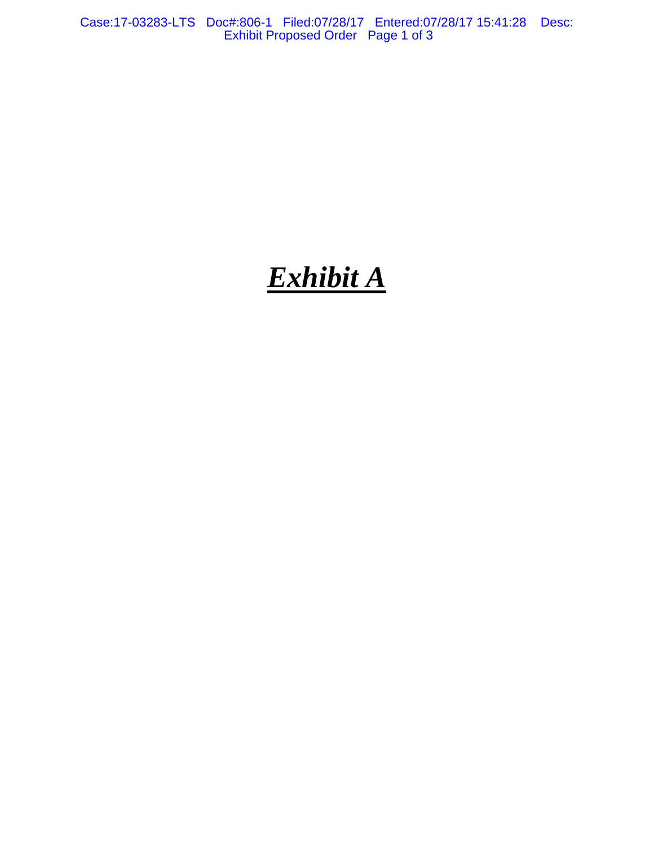Case:17-03283-LTS Doc#:806-1 Filed:07/28/17 Entered:07/28/17 15:41:28 Desc: Exhibit Proposed Order Page 1 of 3

# *Exhibit A*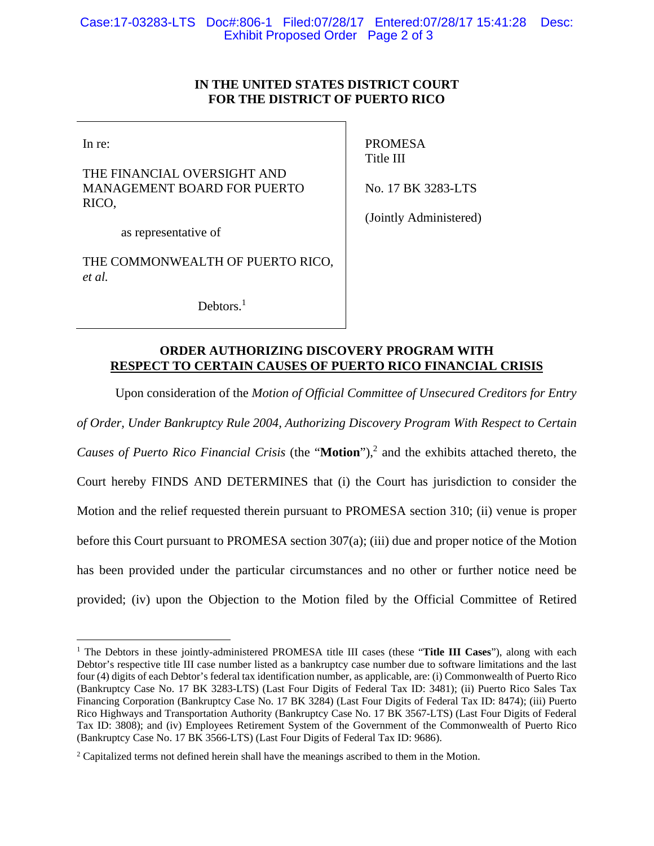# **IN THE UNITED STATES DISTRICT COURT FOR THE DISTRICT OF PUERTO RICO**

In re:

 $\overline{a}$ 

THE FINANCIAL OVERSIGHT AND MANAGEMENT BOARD FOR PUERTO RICO,

as representative of

PROMESA Title III

No. 17 BK 3283-LTS

THE COMMONWEALTH OF PUERTO RICO, *et al.*

Debtors.<sup>1</sup>

(Jointly Administered)

# **ORDER AUTHORIZING DISCOVERY PROGRAM WITH RESPECT TO CERTAIN CAUSES OF PUERTO RICO FINANCIAL CRISIS**

Upon consideration of the *Motion of Official Committee of Unsecured Creditors for Entry of Order, Under Bankruptcy Rule 2004, Authorizing Discovery Program With Respect to Certain*  Causes of Puerto Rico Financial Crisis (the "Motion"),<sup>2</sup> and the exhibits attached thereto, the Court hereby FINDS AND DETERMINES that (i) the Court has jurisdiction to consider the Motion and the relief requested therein pursuant to PROMESA section 310; (ii) venue is proper before this Court pursuant to PROMESA section 307(a); (iii) due and proper notice of the Motion has been provided under the particular circumstances and no other or further notice need be provided; (iv) upon the Objection to the Motion filed by the Official Committee of Retired

<sup>&</sup>lt;sup>1</sup> The Debtors in these jointly-administered PROMESA title III cases (these "Title III Cases"), along with each Debtor's respective title III case number listed as a bankruptcy case number due to software limitations and the last four (4) digits of each Debtor's federal tax identification number, as applicable, are: (i) Commonwealth of Puerto Rico (Bankruptcy Case No. 17 BK 3283-LTS) (Last Four Digits of Federal Tax ID: 3481); (ii) Puerto Rico Sales Tax Financing Corporation (Bankruptcy Case No. 17 BK 3284) (Last Four Digits of Federal Tax ID: 8474); (iii) Puerto Rico Highways and Transportation Authority (Bankruptcy Case No. 17 BK 3567-LTS) (Last Four Digits of Federal Tax ID: 3808); and (iv) Employees Retirement System of the Government of the Commonwealth of Puerto Rico (Bankruptcy Case No. 17 BK 3566-LTS) (Last Four Digits of Federal Tax ID: 9686).

<sup>&</sup>lt;sup>2</sup> Capitalized terms not defined herein shall have the meanings ascribed to them in the Motion.